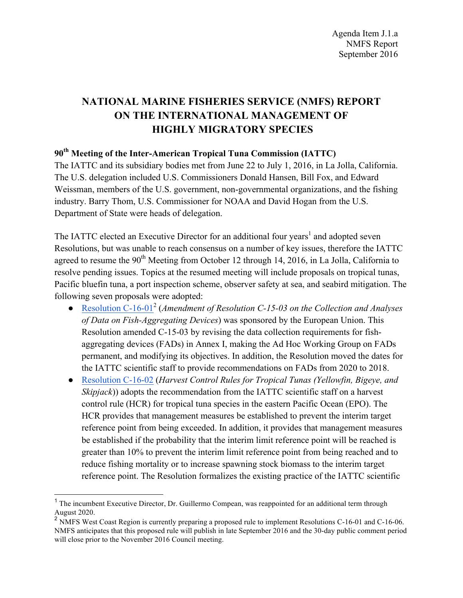# **NATIONAL MARINE FISHERIES SERVICE (NMFS) REPORT ON THE INTERNATIONAL MANAGEMENT OF HIGHLY MIGRATORY SPECIES**

## **90th Meeting of the Inter-American Tropical Tuna Commission (IATTC)**

The IATTC and its subsidiary bodies met from June 22 to July 1, 2016, in La Jolla, California. The U.S. delegation included U.S. Commissioners Donald Hansen, Bill Fox, and Edward Weissman, members of the U.S. government, non-governmental organizations, and the fishing industry. Barry Thom, U.S. Commissioner for NOAA and David Hogan from the U.S. Department of State were heads of delegation.

The IATTC elected an Executive Director for an additional four years<sup>1</sup> and adopted seven Resolutions, but was unable to reach consensus on a number of key issues, therefore the IATTC agreed to resume the  $90<sup>th</sup>$  Meeting from October 12 through 14, 2016, in La Jolla, California to resolve pending issues. Topics at the resumed meeting will include proposals on tropical tunas, Pacific bluefin tuna, a port inspection scheme, observer safety at sea, and seabird mitigation. The following seven proposals were adopted:

- Resolution C-16-01<sup>2</sup> (*Amendment of Resolution C-15-03 on the Collection and Analyses of Data on Fish-Aggregating Devices*) was sponsored by the European Union. This Resolution amended C-15-03 by revising the data collection requirements for fishaggregating devices (FADs) in Annex I, making the Ad Hoc Working Group on FADs permanent, and modifying its objectives. In addition, the Resolution moved the dates for the IATTC scientific staff to provide recommendations on FADs from 2020 to 2018.
- Resolution C-16-02 (*Harvest Control Rules for Tropical Tunas (Yellowfin, Bigeye, and Skipjack*)) adopts the recommendation from the IATTC scientific staff on a harvest control rule (HCR) for tropical tuna species in the eastern Pacific Ocean (EPO). The HCR provides that management measures be established to prevent the interim target reference point from being exceeded. In addition, it provides that management measures be established if the probability that the interim limit reference point will be reached is greater than 10% to prevent the interim limit reference point from being reached and to reduce fishing mortality or to increase spawning stock biomass to the interim target reference point. The Resolution formalizes the existing practice of the IATTC scientific

<sup>&</sup>lt;sup>1</sup> The incumbent Executive Director, Dr. Guillermo Compean, was reappointed for an additional term through August 2020.

<sup>&</sup>lt;sup>2</sup> NMFS West Coast Region is currently preparing a proposed rule to implement Resolutions C-16-01 and C-16-06. NMFS anticipates that this proposed rule will publish in late September 2016 and the 30-day public comment period will close prior to the November 2016 Council meeting.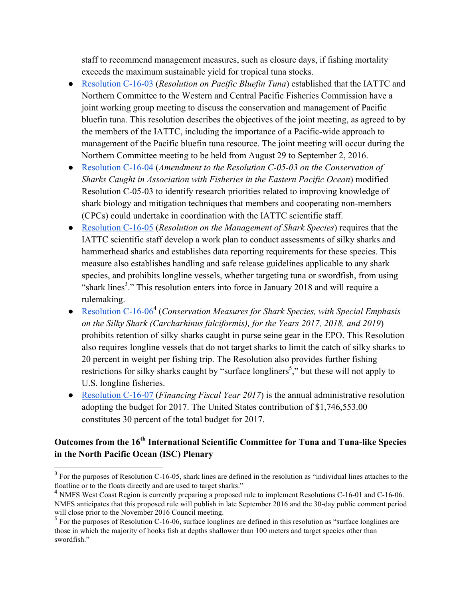staff to recommend management measures, such as closure days, if fishing mortality exceeds the maximum sustainable yield for tropical tuna stocks.

- Resolution C-16-03 (*Resolution on Pacific Bluefin Tuna*) established that the IATTC and Northern Committee to the Western and Central Pacific Fisheries Commission have a joint working group meeting to discuss the conservation and management of Pacific bluefin tuna. This resolution describes the objectives of the joint meeting, as agreed to by the members of the IATTC, including the importance of a Pacific-wide approach to management of the Pacific bluefin tuna resource. The joint meeting will occur during the Northern Committee meeting to be held from August 29 to September 2, 2016.
- Resolution C-16-04 (*Amendment to the Resolution C-05-03 on the Conservation of Sharks Caught in Association with Fisheries in the Eastern Pacific Ocean*) modified Resolution C-05-03 to identify research priorities related to improving knowledge of shark biology and mitigation techniques that members and cooperating non-members (CPCs) could undertake in coordination with the IATTC scientific staff.
- Resolution C-16-05 (*Resolution on the Management of Shark Species*) requires that the IATTC scientific staff develop a work plan to conduct assessments of silky sharks and hammerhead sharks and establishes data reporting requirements for these species. This measure also establishes handling and safe release guidelines applicable to any shark species, and prohibits longline vessels, whether targeting tuna or swordfish, from using "shark lines<sup>3</sup>." This resolution enters into force in January 2018 and will require a rulemaking.
- Resolution C-16-06<sup>4</sup> (*Conservation Measures for Shark Species, with Special Emphasis on the Silky Shark (Carcharhinus falciformis), for the Years 2017, 2018, and 2019*) prohibits retention of silky sharks caught in purse seine gear in the EPO. This Resolution also requires longline vessels that do not target sharks to limit the catch of silky sharks to 20 percent in weight per fishing trip. The Resolution also provides further fishing restrictions for silky sharks caught by "surface longliners<sup>5</sup>," but these will not apply to U.S. longline fisheries.
- Resolution C-16-07 (*Financing Fiscal Year 2017*) is the annual administrative resolution adopting the budget for 2017. The United States contribution of \$1,746,553.00 constitutes 30 percent of the total budget for 2017.

## **Outcomes from the 16th International Scientific Committee for Tuna and Tuna-like Species in the North Pacific Ocean (ISC) Plenary**

<sup>&</sup>lt;sup>3</sup> For the purposes of Resolution C-16-05, shark lines are defined in the resolution as "individual lines attaches to the floatline or to the floats directly and are used to target sharks."

<sup>&</sup>lt;sup>4</sup> NMFS West Coast Region is currently preparing a proposed rule to implement Resolutions C-16-01 and C-16-06. NMFS anticipates that this proposed rule will publish in late September 2016 and the 30-day public comment period will close prior to the November 2016 Council meeting.

<sup>&</sup>lt;sup>5</sup> For the purposes of Resolution C-16-06, surface longlines are defined in this resolution as "surface longlines are those in which the majority of hooks fish at depths shallower than 100 meters and target species other than swordfish."